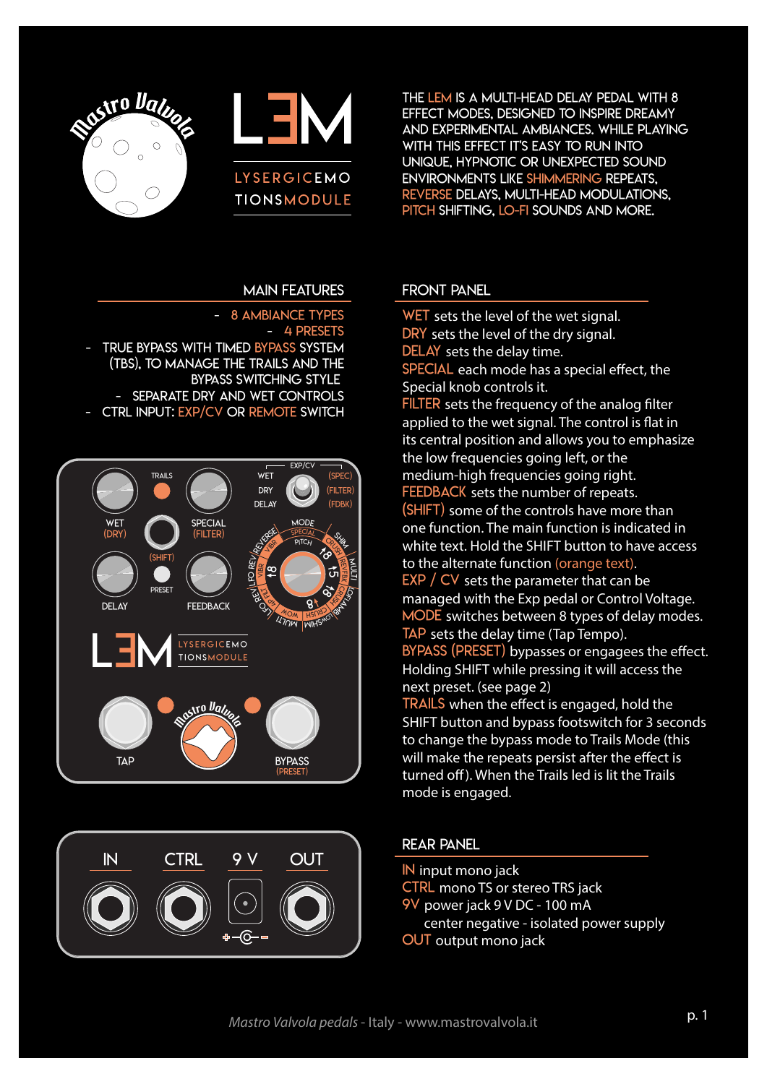



The LEM is a multi-head delay pedal with 8 effect modes, designed to inspire dreamy and experimental ambiances. while Playing WITH THIS EFFECT IT'S EASY TO RUN INTO unique, hypnotic or unexpected sound environments like shimmering repeats, reverse delays, multi-head modulations, pitch shifting, lo-fi sounds and more.

### main features

#### 8 AMBIANCE TYPES - 4 PRESETS - TRUE BYPASS WITH TIMED BYPASS SYSTEM

 (TBS), to manage the trails and the bypass switching style - SEPARATE DRY AND WET CONTROLS CTRL INPUT: EXP/CV OR REMOTE SWITCH





### Front panel

WET sets the level of the wet signal. DRY sets the level of the dry signal. DELAY sets the delay time. SPECIAL each mode has a special effect, the Special knob controls it. FILTER sets the frequency of the analog filter applied to the wet signal. The control is fat in its central position and allows you to emphasize the low frequencies going left, or the medium-high frequencies going right. FEEDBACK sets the number of repeats. (SHIFT) some of the controls have more than one function. The main function is indicated in white text. Hold the SHIFT button to have access to the alternate function (orange text).  $EXP / CV$  sets the parameter that can be managed with the Exp pedal or Control Voltage. MODE switches between 8 types of delay modes. TAP sets the delay time (Tap Tempo). BYPASS (PRESET) bypasses or engagees the effect. Holding SHIFT while pressing it will access the next preset. (see page 2) TRAILS when the effect is engaged, hold the SHIFT button and bypass footswitch for 3 seconds to change the bypass mode to Trails Mode (this will make the repeats persist after the effect is turned off). When the Trails led is lit the Trails mode is engaged.

### rear panel

- IN input mono jack
- CTRL mono TS or stereo TRS jack
- 9v power jack 9 V DC 100 mA
- center negative isolated power supply
- OUT output mono jack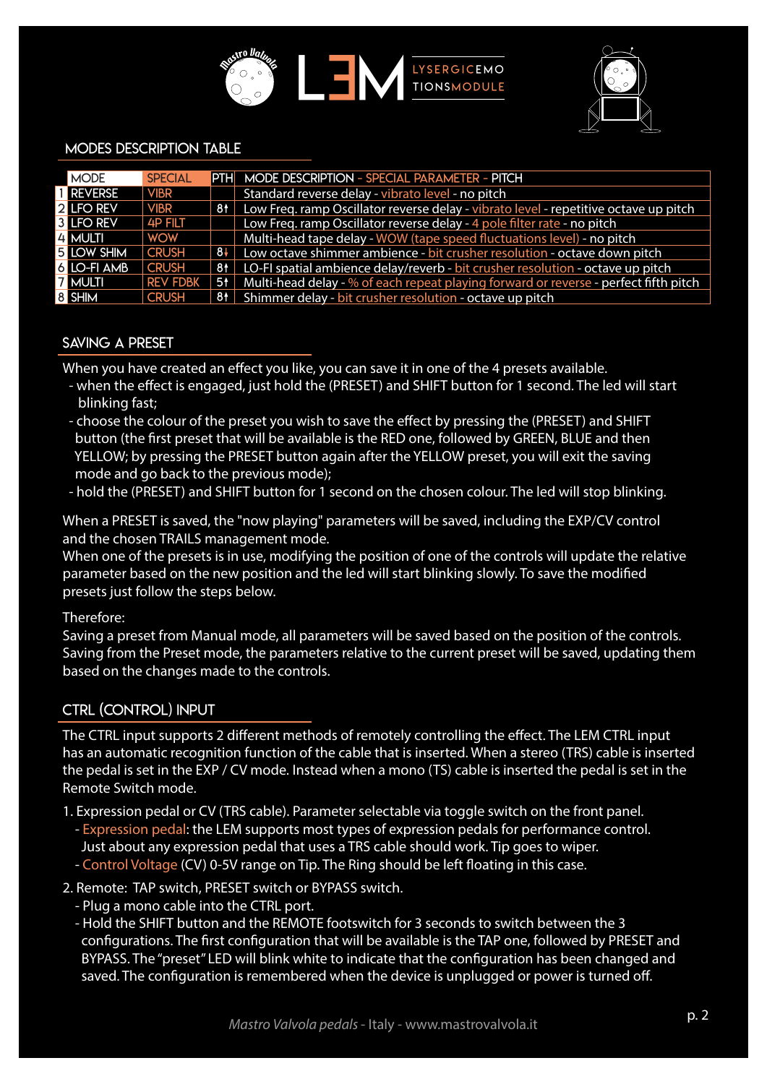



#### modes description table

| <b>MODE</b>       | <b>SPECIAL</b>  |      | <b>PTH</b> MODE DESCRIPTION - SPECIAL PARAMETER - PITCH                              |
|-------------------|-----------------|------|--------------------------------------------------------------------------------------|
| <b>REVERSE</b>    | <b>VIBR</b>     |      | Standard reverse delay - vibrato level - no pitch                                    |
| <b>2 LFO REV</b>  | <b>VIBR</b>     | 81   | Low Freq. ramp Oscillator reverse delay - vibrato level - repetitive octave up pitch |
| <b>3 LFO REV</b>  | <b>4P FILT</b>  |      | Low Freq. ramp Oscillator reverse delay - 4 pole filter rate - no pitch              |
| 4 MULTI           | <b>WOW</b>      |      | Multi-head tape delay - WOW (tape speed fluctuations level) - no pitch               |
| <b>5 LOW SHIM</b> | <b>CRUSH</b>    | $8+$ | Low octave shimmer ambience - bit crusher resolution - octave down pitch             |
| 6 LO-FI AMB       | <b>CRUSH</b>    | 81   | LO-FI spatial ambience delay/reverb - bit crusher resolution - octave up pitch       |
| <b>7 MULTI</b>    | <b>REV FDBK</b> |      | Multi-head delay - % of each repeat playing forward or reverse - perfect fifth pitch |
| 8 SHIM            | <b>CRUSH</b>    |      | 81 Shimmer delay - bit crusher resolution - octave up pitch                          |

### Saving a PRESET

When you have created an effect you like, you can save it in one of the 4 presets available.

- when the efect is engaged, just hold the (PRESET) and SHIFT button for 1 second. The led will start blinking fast;
- choose the colour of the preset you wish to save the efect by pressing the (PRESET) and SHIFT button (the frst preset that will be available is the RED one, followed by GREEN, BLUE and then YELLOW; by pressing the PRESET button again after the YELLOW preset, you will exit the saving mode and go back to the previous mode);
- hold the (PRESET) and SHIFT button for 1 second on the chosen colour. The led will stop blinking.

When a PRESET is saved, the "now playing" parameters will be saved, including the EXP/CV control and the chosen TRAILS management mode.

When one of the presets is in use, modifying the position of one of the controls will update the relative parameter based on the new position and the led will start blinking slowly. To save the modifed presets just follow the steps below.

### Therefore:

Saving a preset from Manual mode, all parameters will be saved based on the position of the controls. Saving from the Preset mode, the parameters relative to the current preset will be saved, updating them based on the changes made to the controls.

### CTRL (control) input

The CTRL input supports 2 diferent methods of remotely controlling the efect. The LEM CTRL input has an automatic recognition function of the cable that is inserted. When a stereo (TRS) cable is inserted the pedal is set in the EXP / CV mode. Instead when a mono (TS) cable is inserted the pedal is set in the Remote Switch mode.

1. Expression pedal or CV (TRS cable). Parameter selectable via toggle switch on the front panel.

- Expression pedal: the LEM supports most types of expression pedals for performance control.
- Just about any expression pedal that uses a TRS cable should work. Tip goes to wiper.
- Control Voltage (CV) 0-5V range on Tip. The Ring should be left foating in this case.

2. Remote: TAP switch, PRESET switch or BYPASS switch.

- Plug a mono cable into the CTRL port.
- Hold the SHIFT button and the REMOTE footswitch for 3 seconds to switch between the 3 confgurations. The frst confguration that will be available is the TAP one, followed by PRESET and BYPASS. The "preset" LED will blink white to indicate that the confguration has been changed and saved. The configuration is remembered when the device is unplugged or power is turned off.